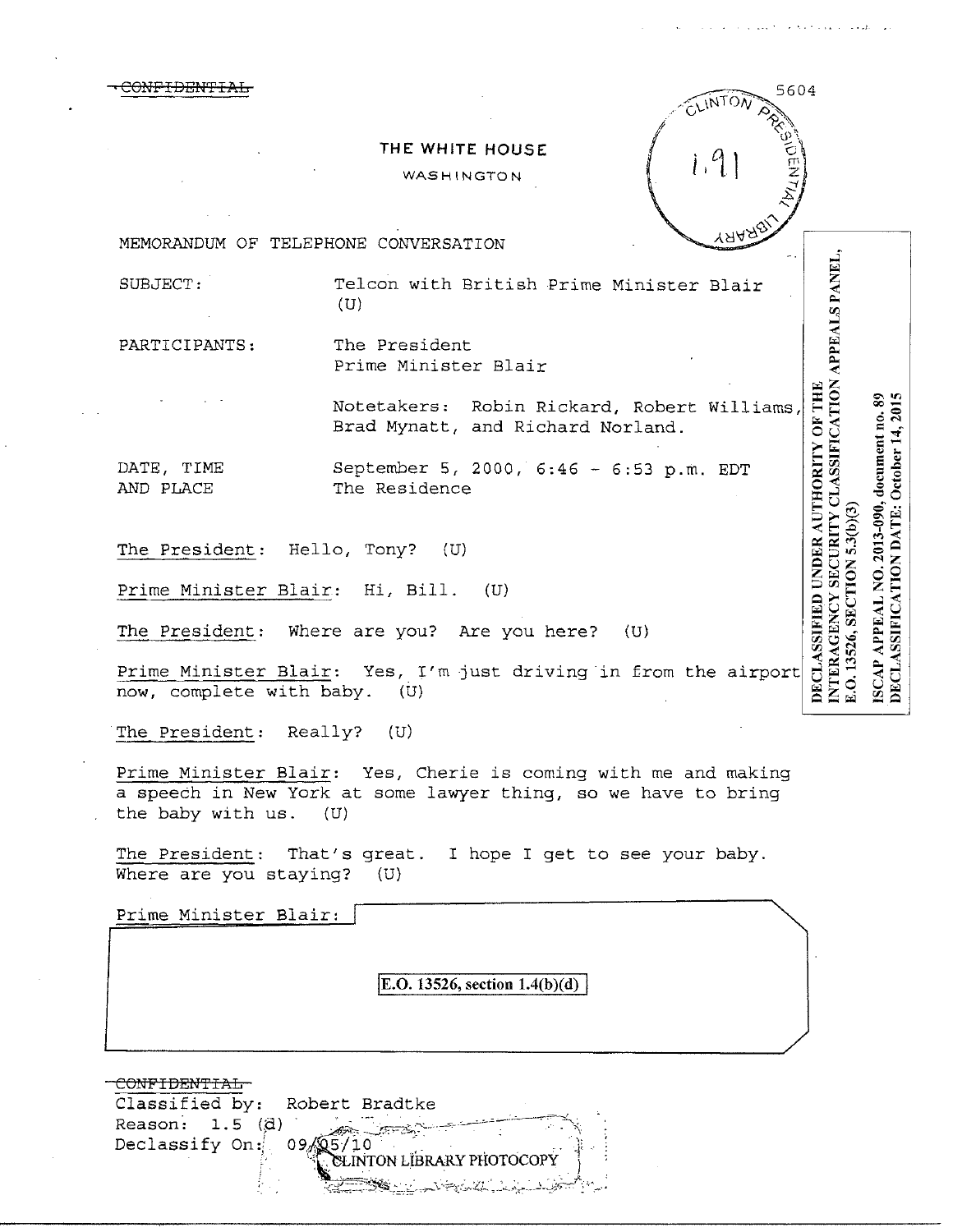<del>CONFIDENTIAL</del> 5604 THE WHITE HOUSE WASHINGTON ΥЯΑ MEMORANDUM OF TELEPHONE CONVERSATION INTERAGENCY SECURITY CLASSIFICATION APPEALS PANEL,<br>E.O. 13526, SECTION 5.3(b)(3) SUBJECT: Telcon with British Prime Minister Blair  $(U)$ PARTICIPANTS: The President Prime Minister Blair DECLASSIFIED UNDER AUTHORITY OF THE DECLASSIFICATION DATE: October 14, 2015 S) Notetakers: Robin Rickard, Robert Williams, NO. 2013-090, document no. Brad Mynatt, and Richard Norland. September 5, 2000, 6:46 - 6:53 p.m. EDT DATE, TIME AND PLACE The Residence The President: Hello, Tony? (U) Prime Minister Blair: Hi, Bill. (U) **APPEAL** The President: Where are you? Are you here?  $(U)$ ISCAP Prime Minister Blair: Yes, I'm just driving in from the airport now, complete with baby. (U)

the company's contract and a state of the state

The President: Really? (U)

Prime Minister Blair: Yes, Cherie is coming with me and making a speech in New York at some lawyer thing, so we have to bring the baby with us.  $(U)$ 

The President: That's great. I hope I get to see your baby. Where are you staying?  $(U)$ 

Prime Minister Blair:

E.O. 13526, section  $1.4(b)(d)$ 

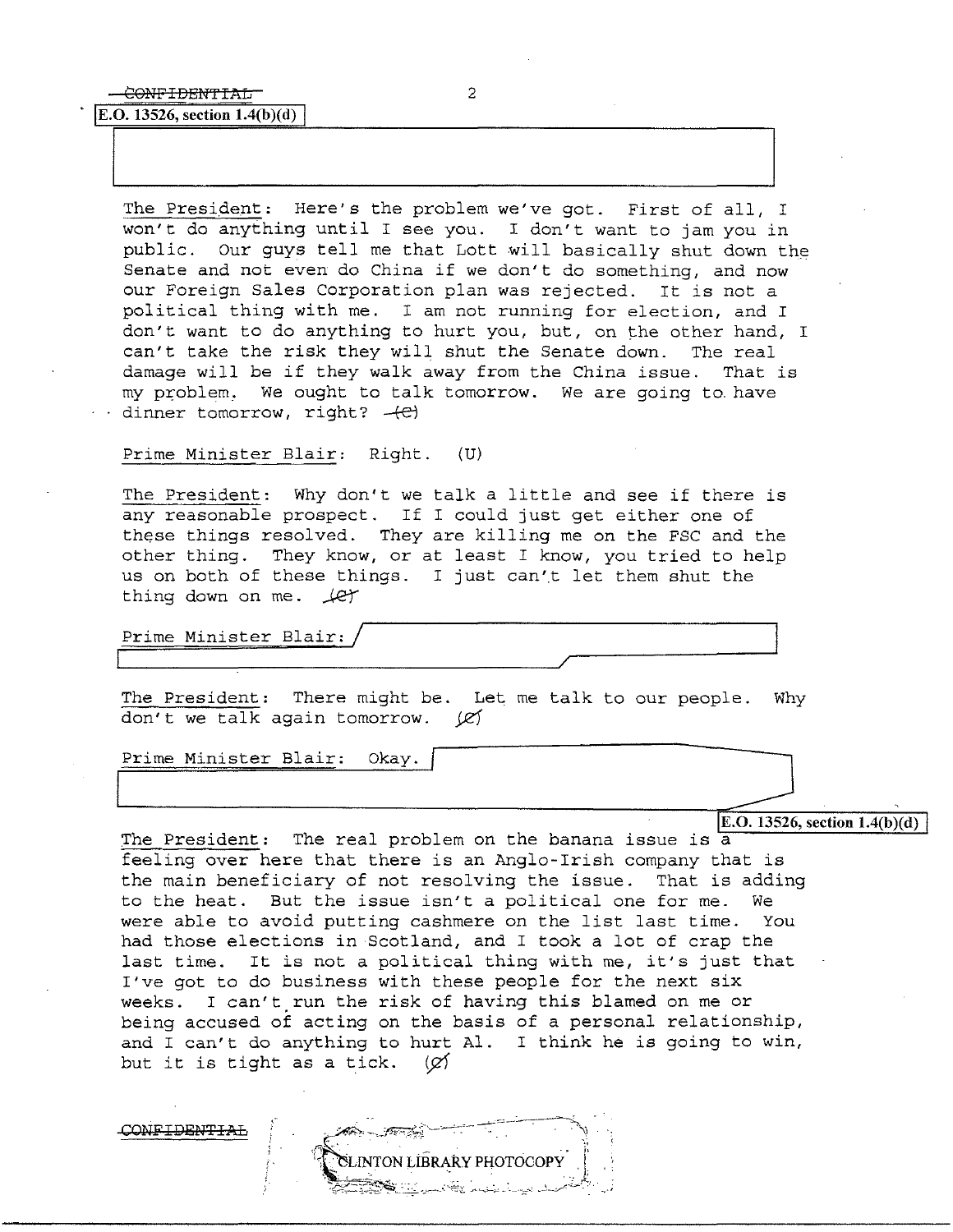## **IE.O. 13526, section 1.4(b)(d)**

The President: Here's the problem we've got. First of all, I won't do anything until I see you. I don't want to jam you in public. Our guys tell me that Lott will basically shut down the Senate and not even do China if we don't do something, and now our Foreign Sales Corporation plan was rejected. It is not a political thing with me. I am not running for election, and I don't want to do anything to hurt you, but, on the other hand, I can't take the risk they will shut the Senate down. The real damage will be if they walk away from the China issue. That is my problem. We ought to talk tomorrow. We are going to have dinner tomorrow, right?  $+e$ 

## Prime Minister Blair: Right. (U)

The President: Why don't we talk a little and see if there is any reasonable prospect. If I could just get either one of these things resolved. They are killing me on the FSC and the other thing. They know, or at least I know, *you* tried to help us on both of these things. I just can't let them shut the thing down on me.  $\mathcal{L}$ 

Prime Minister Blair:/

The President: There might be. Let me talk to our people. Why don't we talk again tomorrow.  $\varnothing$ 

Prime Minister Blair: Okay.

 $\mathbf{E}.\mathbf{O}.\mathbf{13526}$ , section  $1.4(b)(d)$ 

The President: The real problem on the banana issue is  $\overline{a}$ feeling over here that there is an Anglo-Irish company that is the main beneficiary of not resolving the issue. That is adding to the heat. But the issue isn't a political one for me. We were able to avoid putting cashmere on the list last time. You had those elections in Scotland, and I took a lot of crap the last time. It is not a political thing with me, it's just that I've got to do business with these people for the next six weeks. I can't run the risk of having this blamed on me or being accused of acting on the basis of a personal relationship, and I can't do anything to hurt Al. I think he is going to win, but it is tight as a tick.  $\varphi$ 

CONFIDENTIAL